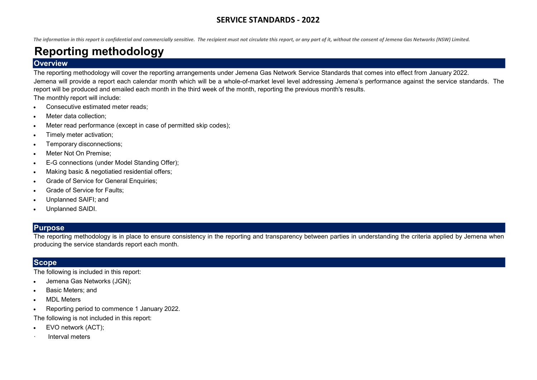The information in this report is confidential and commercially sensitive. The recipient must not circulate this report, or any part of it, without the consent of Jemena Gas Networks (NSW) Limited.

# Reporting methodology

### **Overview**

The reporting methodology will cover the reporting arrangements under Jemena Gas Network Service Standards that comes into effect from January 2022. Jemena will provide a report each calendar month which will be a whole-of-market level level addressing Jemena's performance against the service standards. The report will be produced and emailed each month in the third week of the month, reporting the previous month's results.

The monthly report will include:

- Consecutive estimated meter reads;
- Meter data collection;
- Meter read performance (except in case of permitted skip codes);
- Timely meter activation;
- Temporary disconnections;
- Meter Not On Premise;
- E-G connections (under Model Standing Offer);
- Making basic & negotiatied residential offers;
- Grade of Service for General Enquiries;
- Grade of Service for Faults;
- Unplanned SAIFI; and
- Unplanned SAIDI.

## **Purpose**

The reporting methodology is in place to ensure consistency in the reporting and transparency between parties in understanding the criteria applied by Jemena when producing the service standards report each month.

### **Scope**

The following is included in this report:

- Jemena Gas Networks (JGN);
- Basic Meters; and
- MDL Meters
- Reporting period to commence 1 January 2022.

The following is not included in this report:

- EVO network (ACT);
- · Interval meters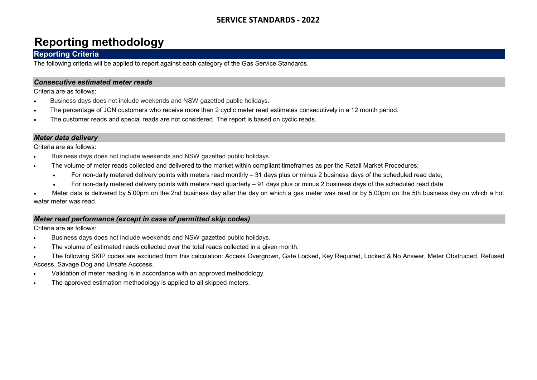# Reporting methodology

### Reporting Criteria

The following criteria will be applied to report against each category of the Gas Service Standards.

#### Consecutive estimated meter reads

Criteria are as follows:

- Business days does not include weekends and NSW gazetted public holidays.
- The percentage of JGN customers who receive more than 2 cyclic meter read estimates consecutively in a 12 month period.
- The customer reads and special reads are not considered. The report is based on cyclic reads.

#### Meter data delivery

Criteria are as follows:

- Business days does not include weekends and NSW gazetted public holidays.
- The volume of meter reads collected and delivered to the market within compliant timeframes as per the Retail Market Procedures:
	- For non-daily metered delivery points with meters read monthly 31 days plus or minus 2 business days of the scheduled read date;
	- For non-daily metered delivery points with meters read quarterly 91 days plus or minus 2 business days of the scheduled read date.

 Meter data is delivered by 5.00pm on the 2nd business day after the day on which a gas meter was read or by 5.00pm on the 5th business day on which a hot water meter was read.

#### Meter read performance (except in case of permitted skip codes)

- Business days does not include weekends and NSW gazetted public holidays.
- The volume of estimated reads collected over the total reads collected in a given month.
- The following SKIP codes are excluded from this calculation: Access Overgrown, Gate Locked, Key Required, Locked & No Answer, Meter Obstructed, Refused Access, Savage Dog and Unsafe Acccess.
- Validation of meter reading is in accordance with an approved methodology.
- The approved estimation methodology is applied to all skipped meters.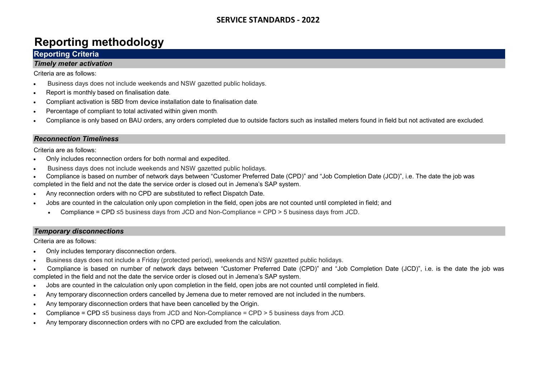# Reporting methodology

## Reporting Criteria

#### Timely meter activation

Criteria are as follows:

- Business days does not include weekends and NSW gazetted public holidays.
- Report is monthly based on finalisation date.
- Compliant activation is 5BD from device installation date to finalisation date.
- Percentage of compliant to total activated within given month.
- Compliance is only based on BAU orders, any orders completed due to outside factors such as installed meters found in field but not activated are excluded.

#### Reconnection Timeliness

Criteria are as follows:

- Only includes reconnection orders for both normal and expedited.
- Business days does not include weekends and NSW gazetted public holidays.
- Compliance is based on number of network days between "Customer Preferred Date (CPD)" and "Job Completion Date (JCD)", i.e. The date the job was completed in the field and not the date the service order is closed out in Jemena's SAP system.
- Any reconnection orders with no CPD are substituted to reflect Dispatch Date.
- Jobs are counted in the calculation only upon completion in the field, open jobs are not counted until completed in field; and
	- Compliance = CPD  $\leq$ 5 business days from JCD and Non-Compliance = CPD  $>$  5 business days from JCD.

#### Temporary disconnections

- Only includes temporary disconnection orders.
- Business days does not include a Friday (protected period), weekends and NSW gazetted public holidays.
- Compliance is based on number of network days between "Customer Preferred Date (CPD)" and "Job Completion Date (JCD)", i.e. is the date the job was completed in the field and not the date the service order is closed out in Jemena's SAP system.
- Jobs are counted in the calculation only upon completion in the field, open jobs are not counted until completed in field.
- Any temporary disconnection orders cancelled by Jemena due to meter removed are not included in the numbers.
- Any temporary disconnection orders that have been cancelled by the Origin.
- Compliance = CPD ≤5 business days from JCD and Non-Compliance = CPD > 5 business days from JCD.
- Any temporary disconnection orders with no CPD are excluded from the calculation.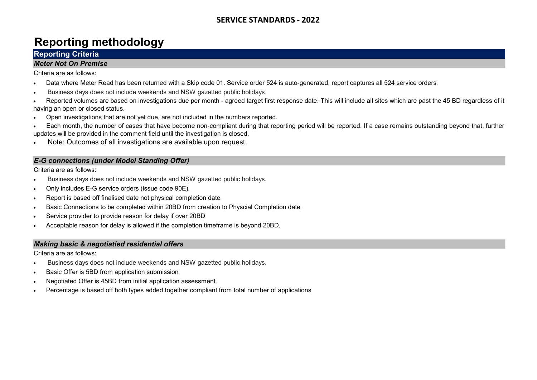# Reporting methodology

# Reporting Criteria

#### Meter Not On Premise

Criteria are as follows:

- Data where Meter Read has been returned with a Skip code 01. Service order 524 is auto-generated, report captures all 524 service orders.
- Business days does not include weekends and NSW gazetted public holidays.
- Reported volumes are based on investigations due per month agreed target first response date. This will include all sites which are past the 45 BD regardless of it having an open or closed status.
- Open investigations that are not yet due, are not included in the numbers reported.
- Each month, the number of cases that have become non-compliant during that reporting period will be reported. If a case remains outstanding beyond that, further updates will be provided in the comment field until the investigation is closed.
- Note: Outcomes of all investigations are available upon request.

### E-G connections (under Model Standing Offer)

Criteria are as follows:

- Business days does not include weekends and NSW gazetted public holidays.
- Only includes E-G service orders (issue code 90E).
- Report is based off finalised date not physical completion date.
- Basic Connections to be completed within 20BD from creation to Physcial Completion date.
- Service provider to provide reason for delay if over 20BD.
- Acceptable reason for delay is allowed if the completion timeframe is beyond 20BD.

#### Making basic & negotiatied residential offers

- Business days does not include weekends and NSW gazetted public holidays.
- Basic Offer is 5BD from application submission.
- Negotiated Offer is 45BD from initial application assessment.
- Percentage is based off both types added together compliant from total number of applications.